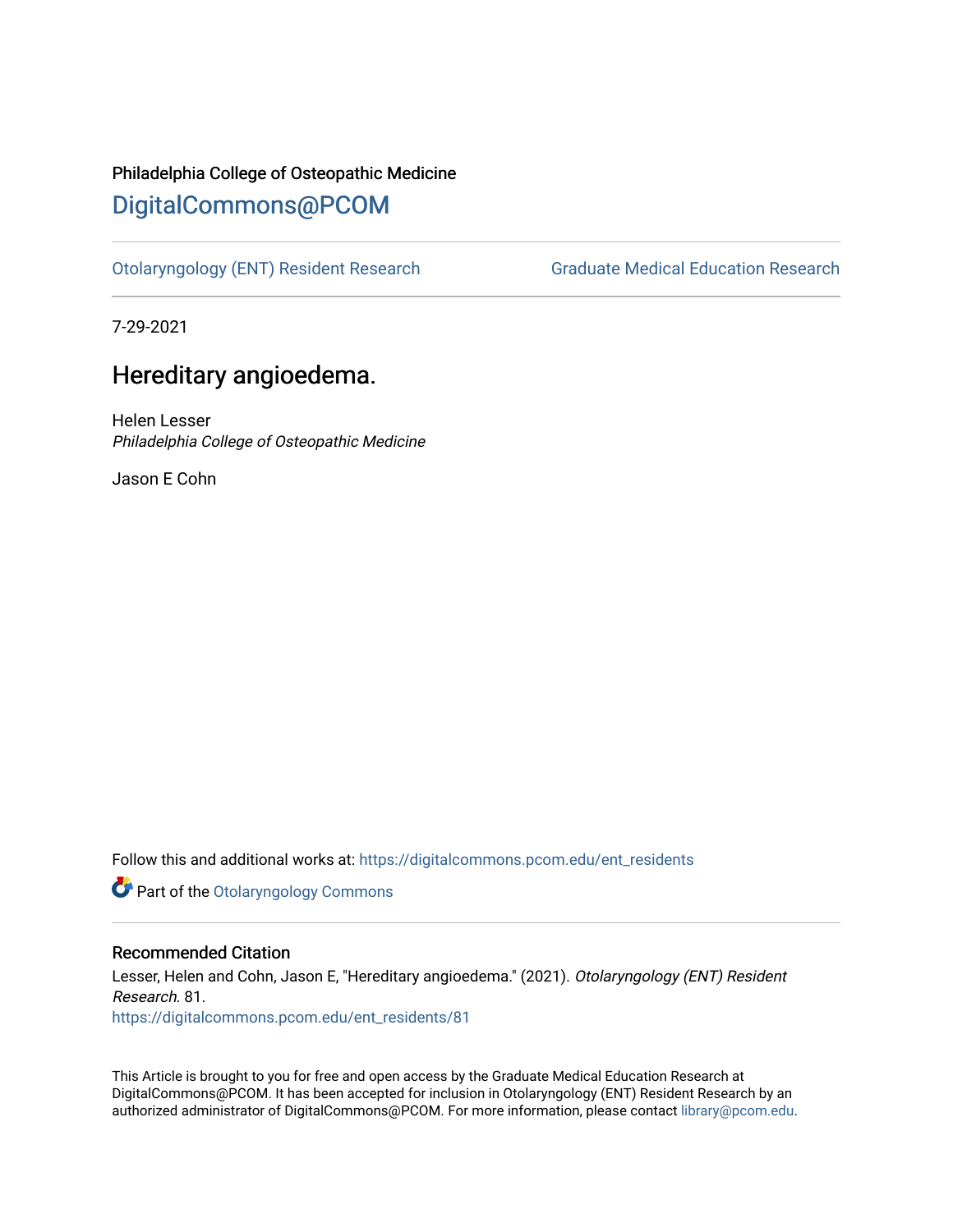## Philadelphia College of Osteopathic Medicine [DigitalCommons@PCOM](https://digitalcommons.pcom.edu/)

[Otolaryngology \(ENT\) Resident Research](https://digitalcommons.pcom.edu/ent_residents) [Graduate Medical Education Research](https://digitalcommons.pcom.edu/graduate_medical_education_research) 

7-29-2021

# Hereditary angioedema.

Helen Lesser Philadelphia College of Osteopathic Medicine

Jason E Cohn

Follow this and additional works at: [https://digitalcommons.pcom.edu/ent\\_residents](https://digitalcommons.pcom.edu/ent_residents?utm_source=digitalcommons.pcom.edu%2Fent_residents%2F81&utm_medium=PDF&utm_campaign=PDFCoverPages)

**Part of the Otolaryngology Commons** 

### Recommended Citation

Lesser, Helen and Cohn, Jason E, "Hereditary angioedema." (2021). Otolaryngology (ENT) Resident Research. 81. [https://digitalcommons.pcom.edu/ent\\_residents/81](https://digitalcommons.pcom.edu/ent_residents/81?utm_source=digitalcommons.pcom.edu%2Fent_residents%2F81&utm_medium=PDF&utm_campaign=PDFCoverPages) 

This Article is brought to you for free and open access by the Graduate Medical Education Research at DigitalCommons@PCOM. It has been accepted for inclusion in Otolaryngology (ENT) Resident Research by an authorized administrator of DigitalCommons@PCOM. For more information, please contact [library@pcom.edu](mailto:library@pcom.edu).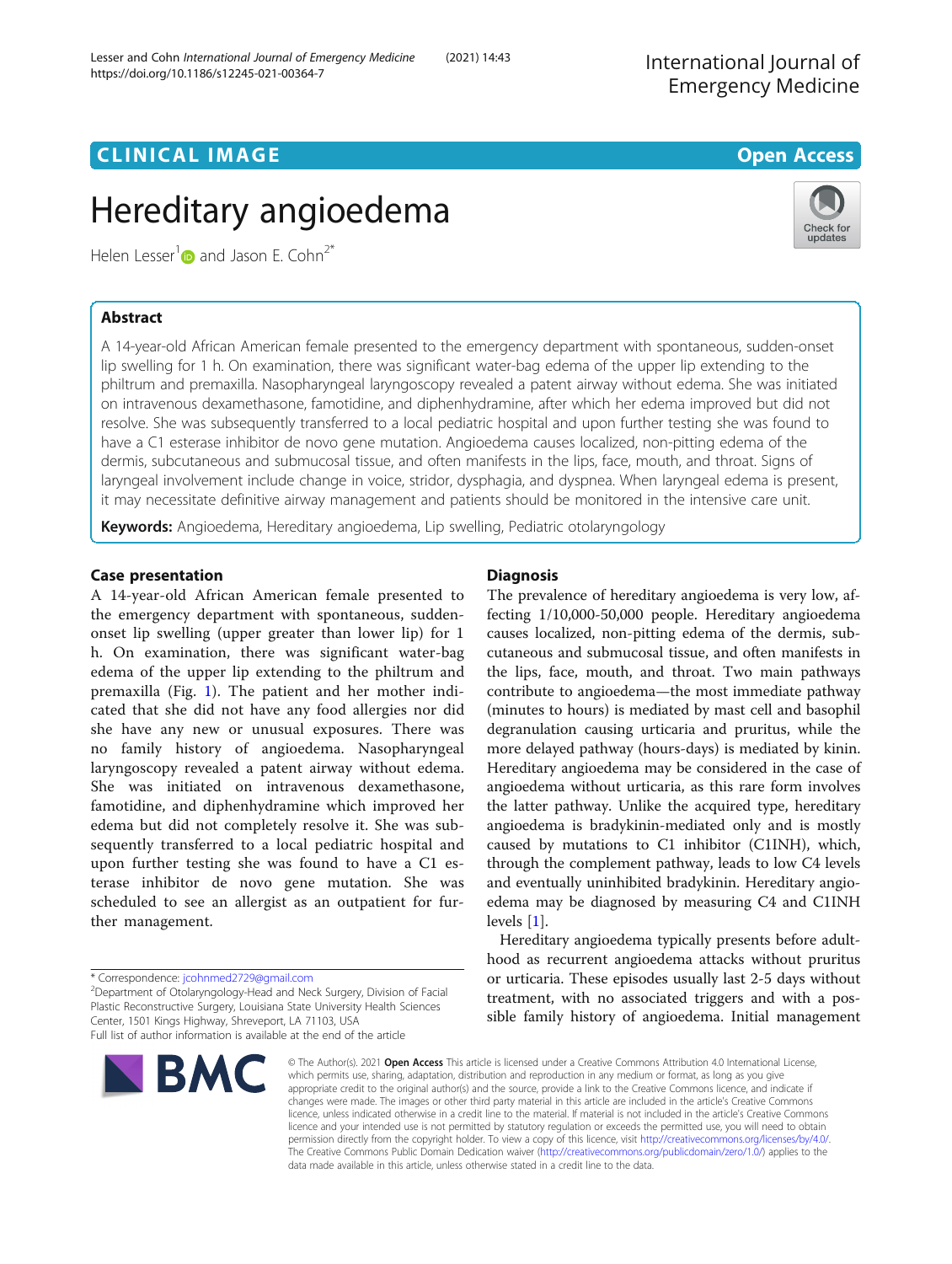# Hereditary angioedema

Helen Lesser<sup>[1](http://orcid.org/0000-0002-8916-1948)</sup> and Jason E. Cohn<sup>2\*</sup>

A 14-year-old African American female presented to the emergency department with spontaneous, sudden-onset lip swelling for 1 h. On examination, there was significant water-bag edema of the upper lip extending to the philtrum and premaxilla. Nasopharyngeal laryngoscopy revealed a patent airway without edema. She was initiated on intravenous dexamethasone, famotidine, and diphenhydramine, after which her edema improved but did not resolve. She was subsequently transferred to a local pediatric hospital and upon further testing she was found to have a C1 esterase inhibitor de novo gene mutation. Angioedema causes localized, non-pitting edema of the dermis, subcutaneous and submucosal tissue, and often manifests in the lips, face, mouth, and throat. Signs of laryngeal involvement include change in voice, stridor, dysphagia, and dyspnea. When laryngeal edema is present, it may necessitate definitive airway management and patients should be monitored in the intensive care unit.

Keywords: Angioedema, Hereditary angioedema, Lip swelling, Pediatric otolaryngology

A 14-year-old African American female presented to the emergency department with spontaneous, suddenonset lip swelling (upper greater than lower lip) for 1 h. On examination, there was significant water-bag edema of the upper lip extending to the philtrum and premaxilla (Fig. [1\)](#page-2-0). The patient and her mother indicated that she did not have any food allergies nor did she have any new or unusual exposures. There was no family history of angioedema. Nasopharyngeal laryngoscopy revealed a patent airway without edema. She was initiated on intravenous dexamethasone, famotidine, and diphenhydramine which improved her edema but did not completely resolve it. She was subsequently transferred to a local pediatric hospital and upon further testing she was found to have a C1 esterase inhibitor de novo gene mutation. She was scheduled to see an allergist as an outpatient for further management.

Department of Otolaryngology-Head and Neck Surgery, Division of Facial Plastic Reconstructive Surgery, Louisiana State University Health Sciences Center, 1501 Kings Highway, Shreveport, LA 71103, USA

Full list of author information is available at the end of the article





The prevalence of hereditary angioedema is very low, affecting 1/10,000-50,000 people. Hereditary angioedema causes localized, non-pitting edema of the dermis, subcutaneous and submucosal tissue, and often manifests in the lips, face, mouth, and throat. Two main pathways contribute to angioedema—the most immediate pathway (minutes to hours) is mediated by mast cell and basophil degranulation causing urticaria and pruritus, while the more delayed pathway (hours-days) is mediated by kinin. Hereditary angioedema may be considered in the case of angioedema without urticaria, as this rare form involves the latter pathway. Unlike the acquired type, hereditary angioedema is bradykinin-mediated only and is mostly caused by mutations to C1 inhibitor (C1INH), which, through the complement pathway, leads to low C4 levels and eventually uninhibited bradykinin. Hereditary angioedema may be diagnosed by measuring C4 and C1INH levels [[1\]](#page-2-0).

Hereditary angioedema typically presents before adulthood as recurrent angioedema attacks without pruritus or urticaria. These episodes usually last 2-5 days without treatment, with no associated triggers and with a possible family history of angioedema. Initial management

© The Author(s), 2021 **Open Access** This article is licensed under a Creative Commons Attribution 4.0 International License, which permits use, sharing, adaptation, distribution and reproduction in any medium or format, as long as you give appropriate credit to the original author(s) and the source, provide a link to the Creative Commons licence, and indicate if changes were made. The images or other third party material in this article are included in the article's Creative Commons licence, unless indicated otherwise in a credit line to the material. If material is not included in the article's Creative Commons licence and your intended use is not permitted by statutory regulation or exceeds the permitted use, you will need to obtain permission directly from the copyright holder. To view a copy of this licence, visit [http://creativecommons.org/licenses/by/4.0/.](http://creativecommons.org/licenses/by/4.0/) The Creative Commons Public Domain Dedication waiver [\(http://creativecommons.org/publicdomain/zero/1.0/](http://creativecommons.org/publicdomain/zero/1.0/)) applies to the data made available in this article, unless otherwise stated in a credit line to the data.





<sup>\*</sup> Correspondence: [jcohnmed2729@gmail.com](mailto:jcohnmed2729@gmail.com) <sup>2</sup>